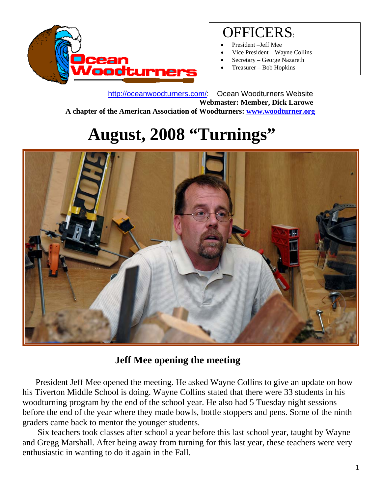

## OFFICERS:

- President –Jeff Mee
- Vice President Wayne Collins
- Secretary George Nazareth
- Treasurer Bob Hopkins

 http://oceanwoodturners.com/: Ocean Woodturners Website **Webmaster: Member, Dick Larowe A chapter of the American Association of Woodturners: www.woodturner.org** 

## **August, 2008 "Turnings"**



## **Jeff Mee opening the meeting**

 President Jeff Mee opened the meeting. He asked Wayne Collins to give an update on how his Tiverton Middle School is doing. Wayne Collins stated that there were 33 students in his woodturning program by the end of the school year. He also had 5 Tuesday night sessions before the end of the year where they made bowls, bottle stoppers and pens. Some of the ninth graders came back to mentor the younger students.

 Six teachers took classes after school a year before this last school year, taught by Wayne and Gregg Marshall. After being away from turning for this last year, these teachers were very enthusiastic in wanting to do it again in the Fall.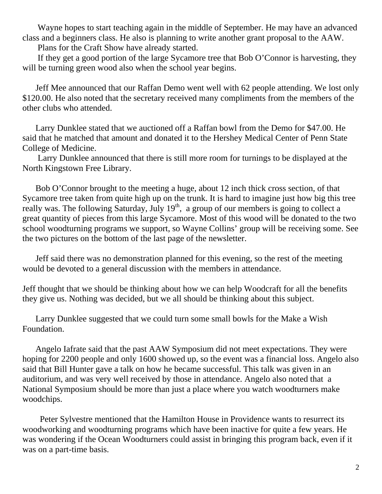Wayne hopes to start teaching again in the middle of September. He may have an advanced class and a beginners class. He also is planning to write another grant proposal to the AAW.

Plans for the Craft Show have already started.

 If they get a good portion of the large Sycamore tree that Bob O'Connor is harvesting, they will be turning green wood also when the school year begins.

 Jeff Mee announced that our Raffan Demo went well with 62 people attending. We lost only \$120.00. He also noted that the secretary received many compliments from the members of the other clubs who attended.

 Larry Dunklee stated that we auctioned off a Raffan bowl from the Demo for \$47.00. He said that he matched that amount and donated it to the Hershey Medical Center of Penn State College of Medicine.

 Larry Dunklee announced that there is still more room for turnings to be displayed at the North Kingstown Free Library.

 Bob O'Connor brought to the meeting a huge, about 12 inch thick cross section, of that Sycamore tree taken from quite high up on the trunk. It is hard to imagine just how big this tree really was. The following Saturday, July  $19^{th}$ , a group of our members is going to collect a great quantity of pieces from this large Sycamore. Most of this wood will be donated to the two school woodturning programs we support, so Wayne Collins' group will be receiving some. See the two pictures on the bottom of the last page of the newsletter.

 Jeff said there was no demonstration planned for this evening, so the rest of the meeting would be devoted to a general discussion with the members in attendance.

Jeff thought that we should be thinking about how we can help Woodcraft for all the benefits they give us. Nothing was decided, but we all should be thinking about this subject.

 Larry Dunklee suggested that we could turn some small bowls for the Make a Wish Foundation.

 Angelo Iafrate said that the past AAW Symposium did not meet expectations. They were hoping for 2200 people and only 1600 showed up, so the event was a financial loss. Angelo also said that Bill Hunter gave a talk on how he became successful. This talk was given in an auditorium, and was very well received by those in attendance. Angelo also noted that a National Symposium should be more than just a place where you watch woodturners make woodchips.

 Peter Sylvestre mentioned that the Hamilton House in Providence wants to resurrect its woodworking and woodturning programs which have been inactive for quite a few years. He was wondering if the Ocean Woodturners could assist in bringing this program back, even if it was on a part-time basis.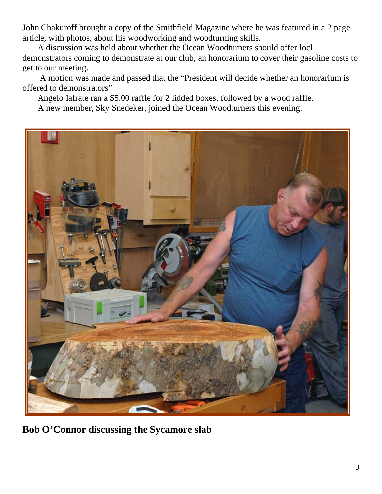John Chakuroff brought a copy of the Smithfield Magazine where he was featured in a 2 page article, with photos, about his woodworking and woodturning skills.

 A discussion was held about whether the Ocean Woodturners should offer locl demonstrators coming to demonstrate at our club, an honorarium to cover their gasoline costs to get to our meeting.

 A motion was made and passed that the "President will decide whether an honorarium is offered to demonstrators"

Angelo Iafrate ran a \$5.00 raffle for 2 lidded boxes, followed by a wood raffle.

A new member, Sky Snedeker, joined the Ocean Woodturners this evening.



**Bob O'Connor discussing the Sycamore slab**